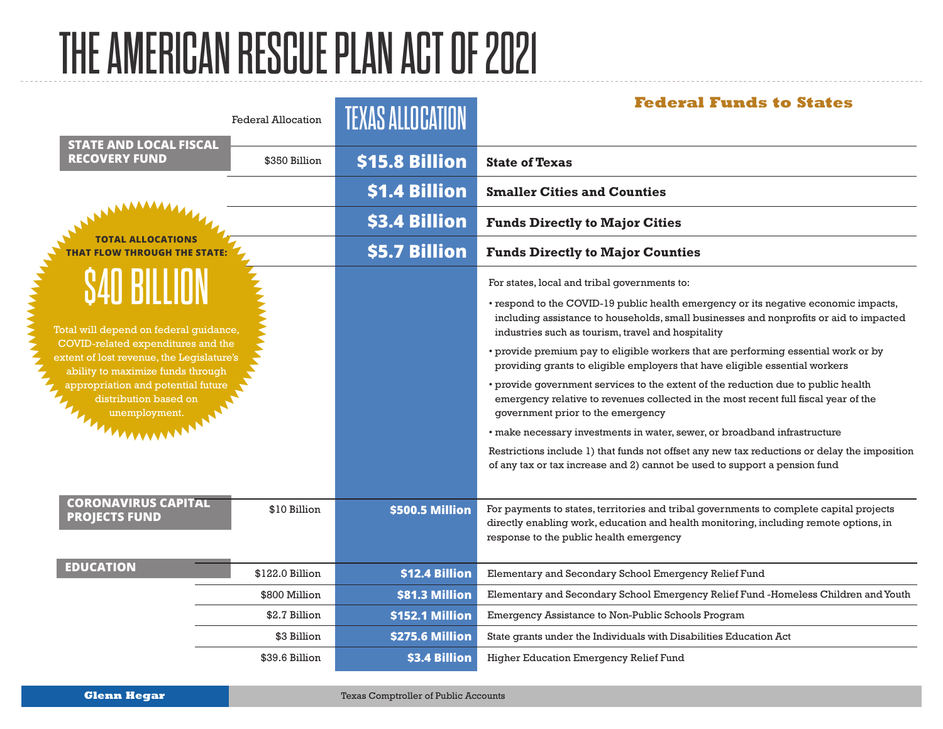## THE AMERICAN RESCUE PLAN ACT OF 2021

| <b>STATE AND LOCAL FISCAL</b>                                                                                                                                                                                                                                            | <b>Federal Allocation</b> | <b>TEXAS ALLOCATION</b> | <b>Federal Funds to States</b>                                                                                                                                                                                                      |
|--------------------------------------------------------------------------------------------------------------------------------------------------------------------------------------------------------------------------------------------------------------------------|---------------------------|-------------------------|-------------------------------------------------------------------------------------------------------------------------------------------------------------------------------------------------------------------------------------|
| <b>RECOVERY FUND</b>                                                                                                                                                                                                                                                     | \$350 Billion             | \$15.8 Billion          | <b>State of Texas</b>                                                                                                                                                                                                               |
|                                                                                                                                                                                                                                                                          |                           | \$1.4 Billion           | <b>Smaller Cities and Counties</b>                                                                                                                                                                                                  |
|                                                                                                                                                                                                                                                                          |                           | \$3.4 Billion           | <b>Funds Directly to Major Cities</b>                                                                                                                                                                                               |
| <b>TOTAL ALLOCATIONS</b><br><b>HAT FLOW THROUGH THE STATE</b>                                                                                                                                                                                                            |                           | \$5.7 Billion           | <b>Funds Directly to Major Counties</b>                                                                                                                                                                                             |
| <b>S40 BILLION</b><br>Total will depend on federal guidance,<br>COVID-related expenditures and the<br>extent of lost revenue, the Legislature's<br>ability to maximize funds through<br>appropriation and potential future<br>distribution based on<br>THE unemployment. |                           |                         | For states, local and tribal governments to:                                                                                                                                                                                        |
|                                                                                                                                                                                                                                                                          |                           |                         | • respond to the COVID-19 public health emergency or its negative economic impacts,<br>including assistance to households, small businesses and nonprofits or aid to impacted<br>industries such as tourism, travel and hospitality |
|                                                                                                                                                                                                                                                                          |                           |                         | • provide premium pay to eligible workers that are performing essential work or by<br>providing grants to eligible employers that have eligible essential workers                                                                   |
|                                                                                                                                                                                                                                                                          |                           |                         | • provide government services to the extent of the reduction due to public health<br>emergency relative to revenues collected in the most recent full fiscal year of the<br>government prior to the emergency                       |
|                                                                                                                                                                                                                                                                          |                           |                         | · make necessary investments in water, sewer, or broadband infrastructure                                                                                                                                                           |
|                                                                                                                                                                                                                                                                          |                           |                         | Restrictions include 1) that funds not offset any new tax reductions or delay the imposition<br>of any tax or tax increase and 2) cannot be used to support a pension fund                                                          |
| <b>CORONAVIRUS CAPITAL</b><br><b>PROJECTS FUND</b>                                                                                                                                                                                                                       | \$10 Billion              | \$500.5 Million         | For payments to states, territories and tribal governments to complete capital projects<br>directly enabling work, education and health monitoring, including remote options, in<br>response to the public health emergency         |
| <b>EDUCATION</b>                                                                                                                                                                                                                                                         | \$122.0 Billion           | \$12.4 Billion          | Elementary and Secondary School Emergency Relief Fund                                                                                                                                                                               |
|                                                                                                                                                                                                                                                                          | \$800 Million             | \$81.3 Million          | Elementary and Secondary School Emergency Relief Fund -Homeless Children and Youth                                                                                                                                                  |
|                                                                                                                                                                                                                                                                          | \$2.7 Billion             | \$152.1 Million         | Emergency Assistance to Non-Public Schools Program                                                                                                                                                                                  |
|                                                                                                                                                                                                                                                                          | \$3 Billion               | \$275.6 Million         | State grants under the Individuals with Disabilities Education Act                                                                                                                                                                  |
|                                                                                                                                                                                                                                                                          | \$39.6 Billion            | \$3.4 Billion           | Higher Education Emergency Relief Fund                                                                                                                                                                                              |